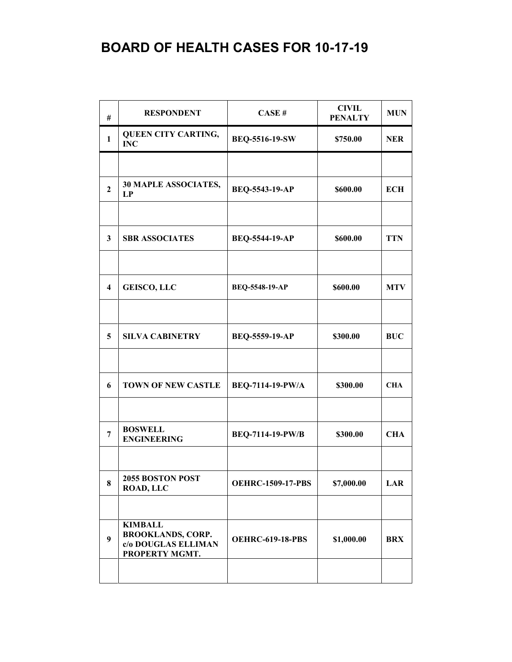| #                       | <b>RESPONDENT</b>                                                                   | CASE#                    | <b>CIVIL</b><br><b>PENALTY</b> | <b>MUN</b> |
|-------------------------|-------------------------------------------------------------------------------------|--------------------------|--------------------------------|------------|
| $\mathbf{1}$            | <b>QUEEN CITY CARTING,</b><br><b>INC</b>                                            | BEQ-5516-19-SW           | \$750.00                       | <b>NER</b> |
|                         |                                                                                     |                          |                                |            |
| $\overline{2}$          | <b>30 MAPLE ASSOCIATES,</b><br>LP                                                   | BEQ-5543-19-AP           | \$600.00                       | <b>ECH</b> |
|                         |                                                                                     |                          |                                |            |
| 3                       | <b>SBR ASSOCIATES</b>                                                               | <b>BEQ-5544-19-AP</b>    | \$600.00                       | <b>TTN</b> |
|                         |                                                                                     |                          |                                |            |
| $\overline{\mathbf{4}}$ | <b>GEISCO, LLC</b>                                                                  | BEQ-5548-19-AP           | \$600.00                       | <b>MTV</b> |
|                         |                                                                                     |                          |                                |            |
| 5                       | <b>SILVA CABINETRY</b>                                                              | BEQ-5559-19-AP           | \$300.00                       | <b>BUC</b> |
|                         |                                                                                     |                          |                                |            |
| 6                       | <b>TOWN OF NEW CASTLE</b>                                                           | BEQ-7114-19-PW/A         | \$300.00                       | <b>CHA</b> |
|                         |                                                                                     |                          |                                |            |
| $\overline{7}$          | <b>BOSWELL</b><br><b>ENGINEERING</b>                                                | <b>BEQ-7114-19-PW/B</b>  | \$300.00                       | <b>CHA</b> |
|                         |                                                                                     |                          |                                |            |
| $\bf{8}$                | 2055 BOSTON POST<br><b>ROAD, LLC</b>                                                | <b>OEHRC-1509-17-PBS</b> | \$7,000.00                     | LAR        |
|                         |                                                                                     |                          |                                |            |
| $\boldsymbol{9}$        | <b>KIMBALL</b><br><b>BROOKLANDS, CORP.</b><br>c/o DOUGLAS ELLIMAN<br>PROPERTY MGMT. | <b>OEHRC-619-18-PBS</b>  | \$1,000.00                     | <b>BRX</b> |
|                         |                                                                                     |                          |                                |            |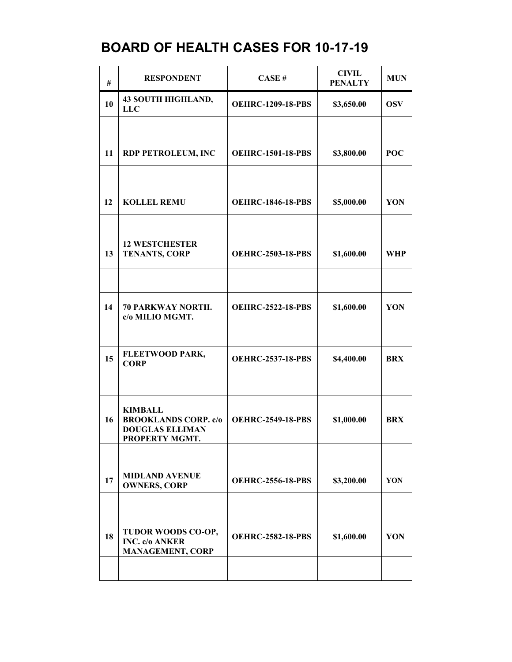| #  | <b>RESPONDENT</b>                                                                         | CASE#                    | <b>CIVIL</b><br><b>PENALTY</b> | <b>MUN</b> |
|----|-------------------------------------------------------------------------------------------|--------------------------|--------------------------------|------------|
| 10 | <b>43 SOUTH HIGHLAND,</b><br><b>LLC</b>                                                   | <b>OEHRC-1209-18-PBS</b> | \$3,650.00                     | <b>OSV</b> |
|    |                                                                                           |                          |                                |            |
| 11 | <b>RDP PETROLEUM, INC</b>                                                                 | <b>OEHRC-1501-18-PBS</b> | \$3,800.00                     | <b>POC</b> |
|    |                                                                                           |                          |                                |            |
| 12 | <b>KOLLEL REMU</b>                                                                        | <b>OEHRC-1846-18-PBS</b> | \$5,000.00                     | YON        |
|    |                                                                                           |                          |                                |            |
| 13 | <b>12 WESTCHESTER</b><br><b>TENANTS, CORP</b>                                             | <b>OEHRC-2503-18-PBS</b> | \$1,600.00                     | <b>WHP</b> |
|    |                                                                                           |                          |                                |            |
| 14 | 70 PARKWAY NORTH.<br>c/o MILIO MGMT.                                                      | <b>OEHRC-2522-18-PBS</b> | \$1,600.00                     | YON        |
|    |                                                                                           |                          |                                |            |
| 15 | FLEETWOOD PARK,<br><b>CORP</b>                                                            | <b>OEHRC-2537-18-PBS</b> | \$4,400.00                     | <b>BRX</b> |
|    |                                                                                           |                          |                                |            |
| 16 | <b>KIMBALL</b><br><b>BROOKLANDS CORP. c/o</b><br><b>DOUGLAS ELLIMAN</b><br>PROPERTY MGMT. | <b>OEHRC-2549-18-PBS</b> | \$1,000.00                     | <b>BRX</b> |
|    |                                                                                           |                          |                                |            |
| 17 | <b>MIDLAND AVENUE</b><br><b>OWNERS, CORP</b>                                              | <b>OEHRC-2556-18-PBS</b> | \$3,200.00                     | YON        |
|    |                                                                                           |                          |                                |            |
| 18 | TUDOR WOODS CO-OP,<br><b>INC.</b> c/o ANKER<br><b>MANAGEMENT, CORP</b>                    | <b>OEHRC-2582-18-PBS</b> | \$1,600.00                     | YON        |
|    |                                                                                           |                          |                                |            |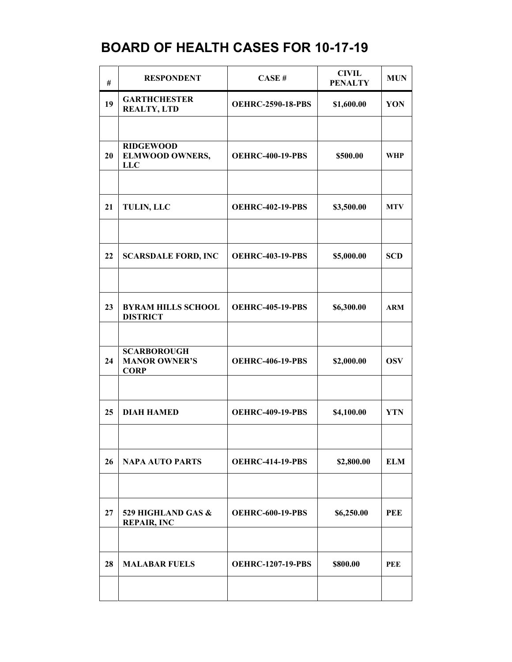| #  | <b>RESPONDENT</b>                                         | CASE#                    | <b>CIVIL</b><br><b>PENALTY</b> | <b>MUN</b> |
|----|-----------------------------------------------------------|--------------------------|--------------------------------|------------|
| 19 | <b>GARTHCHESTER</b><br><b>REALTY, LTD</b>                 | <b>OEHRC-2590-18-PBS</b> | \$1,600.00                     | YON        |
|    |                                                           |                          |                                |            |
| 20 | <b>RIDGEWOOD</b><br><b>ELMWOOD OWNERS,</b><br><b>LLC</b>  | <b>OEHRC-400-19-PBS</b>  | \$500.00                       | <b>WHP</b> |
| 21 | <b>TULIN, LLC</b>                                         | <b>OEHRC-402-19-PBS</b>  | \$3,500.00                     | <b>MTV</b> |
| 22 | <b>SCARSDALE FORD, INC</b>                                | <b>OEHRC-403-19-PBS</b>  | \$5,000.00                     | <b>SCD</b> |
|    |                                                           |                          |                                |            |
| 23 | <b>BYRAM HILLS SCHOOL</b><br><b>DISTRICT</b>              | <b>OEHRC-405-19-PBS</b>  | \$6,300.00                     | <b>ARM</b> |
|    |                                                           |                          |                                |            |
| 24 | <b>SCARBOROUGH</b><br><b>MANOR OWNER'S</b><br><b>CORP</b> | <b>OEHRC-406-19-PBS</b>  | \$2,000.00                     | <b>OSV</b> |
|    |                                                           |                          |                                |            |
| 25 | <b>DIAH HAMED</b>                                         | <b>OEHRC-409-19-PBS</b>  | \$4,100.00                     | <b>YTN</b> |
|    |                                                           |                          |                                |            |
| 26 | <b>NAPA AUTO PARTS</b>                                    | <b>OEHRC-414-19-PBS</b>  | \$2,800.00                     | <b>ELM</b> |
|    |                                                           |                          |                                |            |
| 27 | 529 HIGHLAND GAS &<br><b>REPAIR, INC</b>                  | <b>OEHRC-600-19-PBS</b>  | \$6,250.00                     | <b>PEE</b> |
|    |                                                           |                          |                                |            |
| 28 | <b>MALABAR FUELS</b>                                      | <b>OEHRC-1207-19-PBS</b> | \$800.00                       | <b>PEE</b> |
|    |                                                           |                          |                                |            |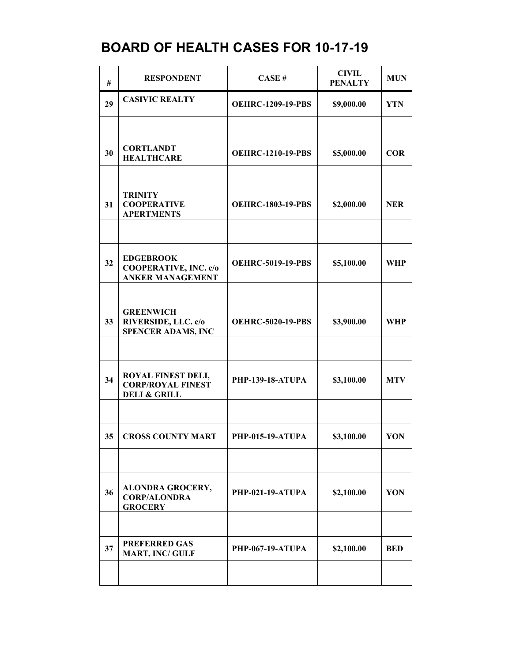| #  | <b>RESPONDENT</b>                                                                | CASE#                    | <b>CIVIL</b><br><b>PENALTY</b> | <b>MUN</b> |
|----|----------------------------------------------------------------------------------|--------------------------|--------------------------------|------------|
| 29 | <b>CASIVIC REALTY</b>                                                            | <b>OEHRC-1209-19-PBS</b> | \$9,000.00                     | <b>YTN</b> |
|    |                                                                                  |                          |                                |            |
| 30 | <b>CORTLANDT</b><br><b>HEALTHCARE</b>                                            | <b>OEHRC-1210-19-PBS</b> | \$5,000.00                     | <b>COR</b> |
|    |                                                                                  |                          |                                |            |
| 31 | <b>TRINITY</b><br><b>COOPERATIVE</b><br><b>APERTMENTS</b>                        | <b>OEHRC-1803-19-PBS</b> | \$2,000.00                     | <b>NER</b> |
|    |                                                                                  |                          |                                |            |
| 32 | <b>EDGEBROOK</b><br><b>COOPERATIVE, INC. c/o</b><br><b>ANKER MANAGEMENT</b>      | <b>OEHRC-5019-19-PBS</b> | \$5,100.00                     | <b>WHP</b> |
|    |                                                                                  |                          |                                |            |
| 33 | <b>GREENWICH</b><br>RIVERSIDE, LLC. c/o<br><b>SPENCER ADAMS, INC</b>             | <b>OEHRC-5020-19-PBS</b> | \$3,900.00                     | <b>WHP</b> |
|    |                                                                                  |                          |                                |            |
| 34 | <b>ROYAL FINEST DELI,</b><br><b>CORP/ROYAL FINEST</b><br><b>DELI &amp; GRILL</b> | <b>PHP-139-18-ATUPA</b>  | \$3,100.00                     | <b>MTV</b> |
|    |                                                                                  |                          |                                |            |
| 35 | <b>CROSS COUNTY MART</b>                                                         | <b>PHP-015-19-ATUPA</b>  | \$3,100.00                     | YON        |
|    |                                                                                  |                          |                                |            |
| 36 | <b>ALONDRA GROCERY,</b><br><b>CORP/ALONDRA</b><br><b>GROCERY</b>                 | <b>PHP-021-19-ATUPA</b>  | \$2,100.00                     | YON        |
|    |                                                                                  |                          |                                |            |
| 37 | <b>PREFERRED GAS</b><br><b>MART, INC/ GULF</b>                                   | <b>PHP-067-19-ATUPA</b>  | \$2,100.00                     | <b>BED</b> |
|    |                                                                                  |                          |                                |            |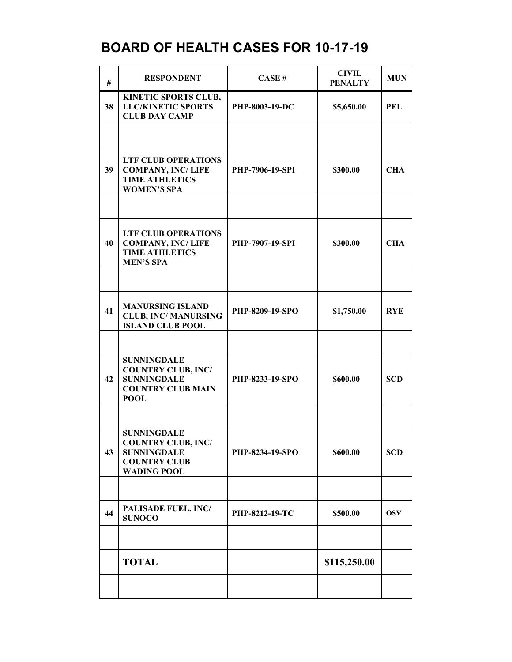| #  | <b>RESPONDENT</b>                                                                                                  | CASE#                  | <b>CIVIL</b><br><b>PENALTY</b> | <b>MUN</b> |
|----|--------------------------------------------------------------------------------------------------------------------|------------------------|--------------------------------|------------|
| 38 | KINETIC SPORTS CLUB,<br><b>LLC/KINETIC SPORTS</b><br><b>CLUB DAY CAMP</b>                                          | PHP-8003-19-DC         | \$5,650.00                     | PEL        |
|    |                                                                                                                    |                        |                                |            |
| 39 | <b>LTF CLUB OPERATIONS</b><br><b>COMPANY, INC/LIFE</b><br><b>TIME ATHLETICS</b><br><b>WOMEN'S SPA</b>              | <b>PHP-7906-19-SPI</b> | \$300.00                       | <b>CHA</b> |
|    |                                                                                                                    |                        |                                |            |
| 40 | <b>LTF CLUB OPERATIONS</b><br><b>COMPANY, INC/LIFE</b><br><b>TIME ATHLETICS</b><br><b>MEN'S SPA</b>                | PHP-7907-19-SPI        | \$300.00                       | <b>CHA</b> |
|    |                                                                                                                    |                        |                                |            |
| 41 | <b>MANURSING ISLAND</b><br><b>CLUB, INC/MANURSING</b><br><b>ISLAND CLUB POOL</b>                                   | PHP-8209-19-SPO        | \$1,750.00                     | <b>RYE</b> |
|    |                                                                                                                    |                        |                                |            |
| 42 | <b>SUNNINGDALE</b><br><b>COUNTRY CLUB, INC/</b><br><b>SUNNINGDALE</b><br><b>COUNTRY CLUB MAIN</b><br><b>POOL</b>   | PHP-8233-19-SPO        | \$600.00                       | <b>SCD</b> |
|    |                                                                                                                    |                        |                                |            |
| 43 | <b>SUNNINGDALE</b><br><b>COUNTRY CLUB, INC/</b><br><b>SUNNINGDALE</b><br><b>COUNTRY CLUB</b><br><b>WADING POOL</b> | PHP-8234-19-SPO        | \$600.00                       | <b>SCD</b> |
|    |                                                                                                                    |                        |                                |            |
| 44 | PALISADE FUEL, INC/<br><b>SUNOCO</b>                                                                               | PHP-8212-19-TC         | \$500.00                       | <b>OSV</b> |
|    | <b>TOTAL</b>                                                                                                       |                        | \$115,250.00                   |            |
|    |                                                                                                                    |                        |                                |            |